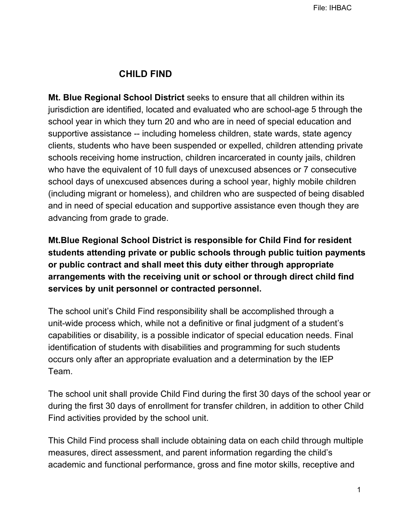## **CHILD FIND**

**Mt. Blue Regional School District** seeks to ensure that all children within its jurisdiction are identified, located and evaluated who are school-age 5 through the school year in which they turn 20 and who are in need of special education and supportive assistance -- including homeless children, state wards, state agency clients, students who have been suspended or expelled, children attending private schools receiving home instruction, children incarcerated in county jails, children who have the equivalent of 10 full days of unexcused absences or 7 consecutive school days of unexcused absences during a school year, highly mobile children (including migrant or homeless), and children who are suspected of being disabled and in need of special education and supportive assistance even though they are advancing from grade to grade.

**Mt.Blue Regional School District is responsible for Child Find for resident students attending private or public schools through public tuition payments or public contract and shall meet this duty either through appropriate arrangements with the receiving unit or school or through direct child find services by unit personnel or contracted personnel.**

The school unit's Child Find responsibility shall be accomplished through a unit-wide process which, while not a definitive or final judgment of a student's capabilities or disability, is a possible indicator of special education needs. Final identification of students with disabilities and programming for such students occurs only after an appropriate evaluation and a determination by the IEP Team.

The school unit shall provide Child Find during the first 30 days of the school year or during the first 30 days of enrollment for transfer children, in addition to other Child Find activities provided by the school unit.

This Child Find process shall include obtaining data on each child through multiple measures, direct assessment, and parent information regarding the child's academic and functional performance, gross and fine motor skills, receptive and